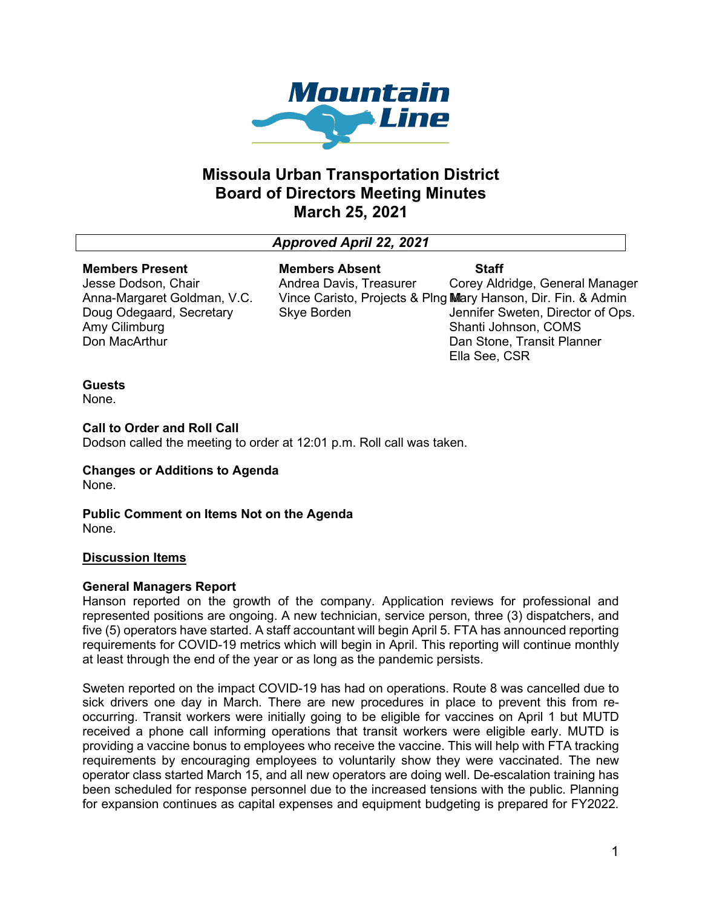

# **Missoula Urban Transportation District Board of Directors Meeting Minutes March 25, 2021**

# *Approved April 22, 2021*

#### **Members Present**

Jesse Dodson, Chair Anna-Margaret Goldman, V.C. Doug Odegaard, Secretary Amy Cilimburg Don MacArthur

**Members Absent** Andrea Davis, Treasurer Vince Caristo, Projects & Plng M Mary Hanson, Dir. Fin. & Admin Skye Borden **Staff**

Corey Aldridge, General Manager Jennifer Sweten, Director of Ops. Shanti Johnson, COMS Dan Stone, Transit Planner Ella See, CSR

# **Guests**

None.

# **Call to Order and Roll Call**

Dodson called the meeting to order at 12:01 p.m. Roll call was taken.

#### **Changes or Additions to Agenda** None.

**Public Comment on Items Not on the Agenda** None.

# **Discussion Items**

# **General Managers Report**

Hanson reported on the growth of the company. Application reviews for professional and represented positions are ongoing. A new technician, service person, three (3) dispatchers, and five (5) operators have started. A staff accountant will begin April 5. FTA has announced reporting requirements for COVID-19 metrics which will begin in April. This reporting will continue monthly at least through the end of the year or as long as the pandemic persists.

Sweten reported on the impact COVID-19 has had on operations. Route 8 was cancelled due to sick drivers one day in March. There are new procedures in place to prevent this from reoccurring. Transit workers were initially going to be eligible for vaccines on April 1 but MUTD received a phone call informing operations that transit workers were eligible early. MUTD is providing a vaccine bonus to employees who receive the vaccine. This will help with FTA tracking requirements by encouraging employees to voluntarily show they were vaccinated. The new operator class started March 15, and all new operators are doing well. De-escalation training has been scheduled for response personnel due to the increased tensions with the public. Planning for expansion continues as capital expenses and equipment budgeting is prepared for FY2022.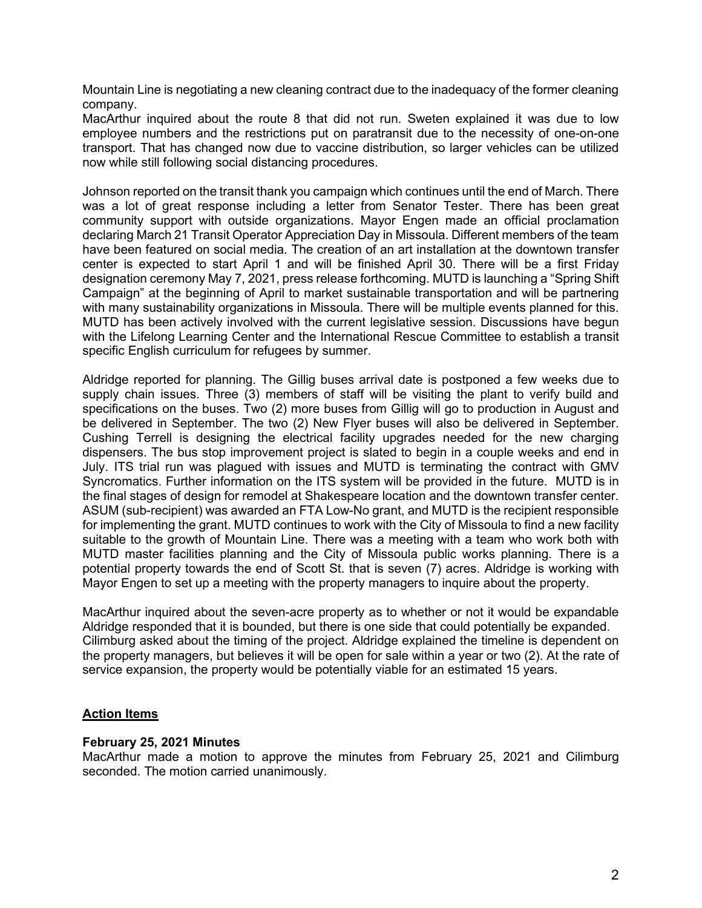Mountain Line is negotiating a new cleaning contract due to the inadequacy of the former cleaning company.

MacArthur inquired about the route 8 that did not run. Sweten explained it was due to low employee numbers and the restrictions put on paratransit due to the necessity of one-on-one transport. That has changed now due to vaccine distribution, so larger vehicles can be utilized now while still following social distancing procedures.

Johnson reported on the transit thank you campaign which continues until the end of March. There was a lot of great response including a letter from Senator Tester. There has been great community support with outside organizations. Mayor Engen made an official proclamation declaring March 21 Transit Operator Appreciation Day in Missoula. Different members of the team have been featured on social media. The creation of an art installation at the downtown transfer center is expected to start April 1 and will be finished April 30. There will be a first Friday designation ceremony May 7, 2021, press release forthcoming. MUTD is launching a "Spring Shift Campaign" at the beginning of April to market sustainable transportation and will be partnering with many sustainability organizations in Missoula. There will be multiple events planned for this. MUTD has been actively involved with the current legislative session. Discussions have begun with the Lifelong Learning Center and the International Rescue Committee to establish a transit specific English curriculum for refugees by summer.

Aldridge reported for planning. The Gillig buses arrival date is postponed a few weeks due to supply chain issues. Three (3) members of staff will be visiting the plant to verify build and specifications on the buses. Two (2) more buses from Gillig will go to production in August and be delivered in September. The two (2) New Flyer buses will also be delivered in September. Cushing Terrell is designing the electrical facility upgrades needed for the new charging dispensers. The bus stop improvement project is slated to begin in a couple weeks and end in July. ITS trial run was plagued with issues and MUTD is terminating the contract with GMV Syncromatics. Further information on the ITS system will be provided in the future. MUTD is in the final stages of design for remodel at Shakespeare location and the downtown transfer center. ASUM (sub-recipient) was awarded an FTA Low-No grant, and MUTD is the recipient responsible for implementing the grant. MUTD continues to work with the City of Missoula to find a new facility suitable to the growth of Mountain Line. There was a meeting with a team who work both with MUTD master facilities planning and the City of Missoula public works planning. There is a potential property towards the end of Scott St. that is seven (7) acres. Aldridge is working with Mayor Engen to set up a meeting with the property managers to inquire about the property.

MacArthur inquired about the seven-acre property as to whether or not it would be expandable Aldridge responded that it is bounded, but there is one side that could potentially be expanded. Cilimburg asked about the timing of the project. Aldridge explained the timeline is dependent on the property managers, but believes it will be open for sale within a year or two (2). At the rate of service expansion, the property would be potentially viable for an estimated 15 years.

# **Action Items**

# **February 25, 2021 Minutes**

MacArthur made a motion to approve the minutes from February 25, 2021 and Cilimburg seconded. The motion carried unanimously.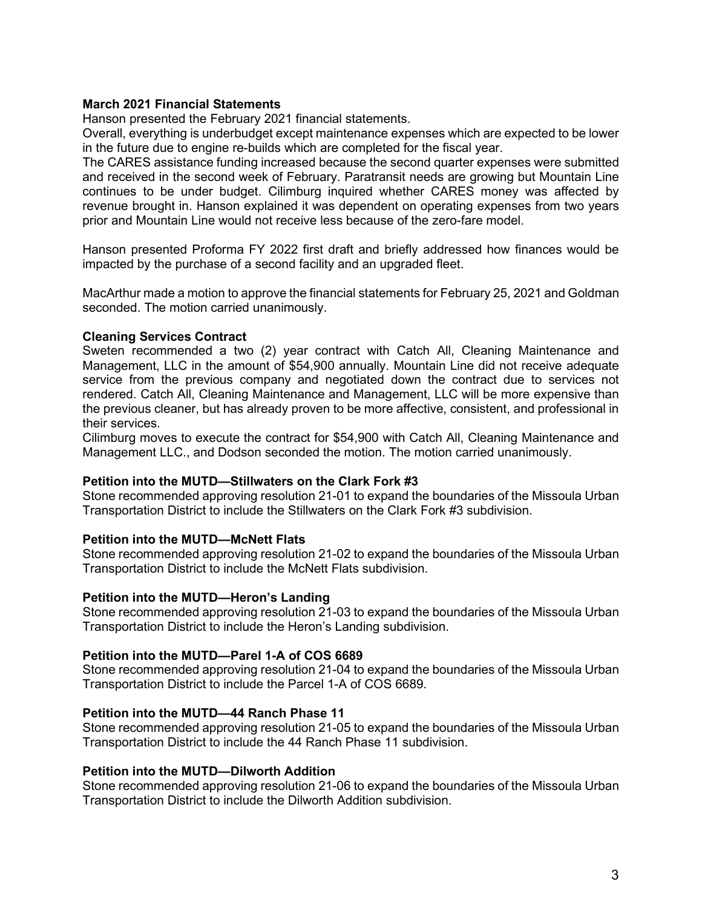#### **March 2021 Financial Statements**

Hanson presented the February 2021 financial statements.

Overall, everything is underbudget except maintenance expenses which are expected to be lower in the future due to engine re-builds which are completed for the fiscal year.

The CARES assistance funding increased because the second quarter expenses were submitted and received in the second week of February. Paratransit needs are growing but Mountain Line continues to be under budget. Cilimburg inquired whether CARES money was affected by revenue brought in. Hanson explained it was dependent on operating expenses from two years prior and Mountain Line would not receive less because of the zero-fare model.

Hanson presented Proforma FY 2022 first draft and briefly addressed how finances would be impacted by the purchase of a second facility and an upgraded fleet.

MacArthur made a motion to approve the financial statements for February 25, 2021 and Goldman seconded. The motion carried unanimously.

#### **Cleaning Services Contract**

Sweten recommended a two (2) year contract with Catch All, Cleaning Maintenance and Management, LLC in the amount of \$54,900 annually. Mountain Line did not receive adequate service from the previous company and negotiated down the contract due to services not rendered. Catch All, Cleaning Maintenance and Management, LLC will be more expensive than the previous cleaner, but has already proven to be more affective, consistent, and professional in their services.

Cilimburg moves to execute the contract for \$54,900 with Catch All, Cleaning Maintenance and Management LLC., and Dodson seconded the motion. The motion carried unanimously.

#### **Petition into the MUTD—Stillwaters on the Clark Fork #3**

Stone recommended approving resolution 21-01 to expand the boundaries of the Missoula Urban Transportation District to include the Stillwaters on the Clark Fork #3 subdivision.

# **Petition into the MUTD—McNett Flats**

Stone recommended approving resolution 21-02 to expand the boundaries of the Missoula Urban Transportation District to include the McNett Flats subdivision.

#### **Petition into the MUTD—Heron's Landing**

Stone recommended approving resolution 21-03 to expand the boundaries of the Missoula Urban Transportation District to include the Heron's Landing subdivision.

#### **Petition into the MUTD—Parel 1-A of COS 6689**

Stone recommended approving resolution 21-04 to expand the boundaries of the Missoula Urban Transportation District to include the Parcel 1-A of COS 6689.

#### **Petition into the MUTD—44 Ranch Phase 11**

Stone recommended approving resolution 21-05 to expand the boundaries of the Missoula Urban Transportation District to include the 44 Ranch Phase 11 subdivision.

#### **Petition into the MUTD—Dilworth Addition**

Stone recommended approving resolution 21-06 to expand the boundaries of the Missoula Urban Transportation District to include the Dilworth Addition subdivision.